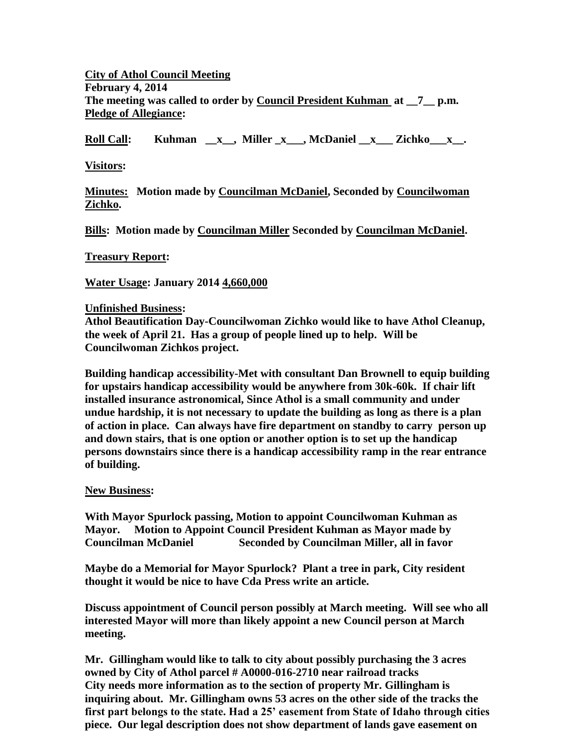**City of Athol Council Meeting February 4, 2014 The meeting was called to order by Council President Kuhman at \_\_7\_\_ p.m. Pledge of Allegiance:**

**Roll Call: Kuhman \_\_x\_\_, Miller \_x\_\_\_, McDaniel \_\_x\_\_\_ Zichko\_\_\_x\_\_.**

**Visitors:**

**Minutes: Motion made by Councilman McDaniel, Seconded by Councilwoman Zichko.**

**Bills: Motion made by Councilman Miller Seconded by Councilman McDaniel.**

**Treasury Report:**

**Water Usage: January 2014 4,660,000**

## **Unfinished Business:**

**Athol Beautification Day-Councilwoman Zichko would like to have Athol Cleanup, the week of April 21. Has a group of people lined up to help. Will be Councilwoman Zichkos project.**

**Building handicap accessibility-Met with consultant Dan Brownell to equip building for upstairs handicap accessibility would be anywhere from 30k-60k. If chair lift installed insurance astronomical, Since Athol is a small community and under undue hardship, it is not necessary to update the building as long as there is a plan of action in place. Can always have fire department on standby to carry person up and down stairs, that is one option or another option is to set up the handicap persons downstairs since there is a handicap accessibility ramp in the rear entrance of building.** 

## **New Business:**

**With Mayor Spurlock passing, Motion to appoint Councilwoman Kuhman as Mayor. Motion to Appoint Council President Kuhman as Mayor made by Councilman McDaniel Seconded by Councilman Miller, all in favor**

**Maybe do a Memorial for Mayor Spurlock? Plant a tree in park, City resident thought it would be nice to have Cda Press write an article.** 

**Discuss appointment of Council person possibly at March meeting. Will see who all interested Mayor will more than likely appoint a new Council person at March meeting.** 

**Mr. Gillingham would like to talk to city about possibly purchasing the 3 acres owned by City of Athol parcel # A0000-016-2710 near railroad tracks City needs more information as to the section of property Mr. Gillingham is inquiring about. Mr. Gillingham owns 53 acres on the other side of the tracks the first part belongs to the state. Had a 25' easement from State of Idaho through cities piece. Our legal description does not show department of lands gave easement on**